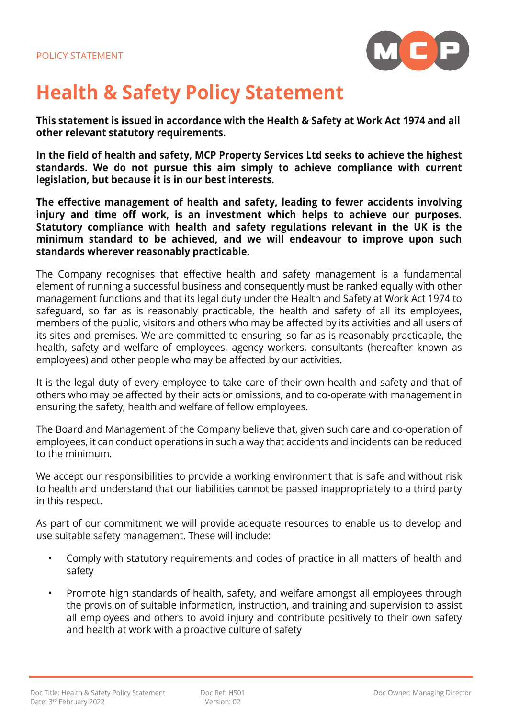

## **Health & Safety Policy Statement**

**This statement is issued in accordance with the Health & Safety at Work Act 1974 and all other relevant statutory requirements.** 

**In the field of health and safety, MCP Property Services Ltd seeks to achieve the highest standards. We do not pursue this aim simply to achieve compliance with current legislation, but because it is in our best interests.** 

**The effective management of health and safety, leading to fewer accidents involving injury and time off work, is an investment which helps to achieve our purposes. Statutory compliance with health and safety regulations relevant in the UK is the minimum standard to be achieved, and we will endeavour to improve upon such standards wherever reasonably practicable.**

The Company recognises that effective health and safety management is a fundamental element of running a successful business and consequently must be ranked equally with other management functions and that its legal duty under the Health and Safety at Work Act 1974 to safeguard, so far as is reasonably practicable, the health and safety of all its employees, members of the public, visitors and others who may be affected by its activities and all users of its sites and premises. We are committed to ensuring, so far as is reasonably practicable, the health, safety and welfare of employees, agency workers, consultants (hereafter known as employees) and other people who may be affected by our activities.

It is the legal duty of every employee to take care of their own health and safety and that of others who may be affected by their acts or omissions, and to co-operate with management in ensuring the safety, health and welfare of fellow employees.

The Board and Management of the Company believe that, given such care and co-operation of employees, it can conduct operations in such a way that accidents and incidents can be reduced to the minimum.

We accept our responsibilities to provide a working environment that is safe and without risk to health and understand that our liabilities cannot be passed inappropriately to a third party in this respect.

As part of our commitment we will provide adequate resources to enable us to develop and use suitable safety management. These will include:

- Comply with statutory requirements and codes of practice in all matters of health and safety
- Promote high standards of health, safety, and welfare amongst all employees through the provision of suitable information, instruction, and training and supervision to assist all employees and others to avoid injury and contribute positively to their own safety and health at work with a proactive culture of safety